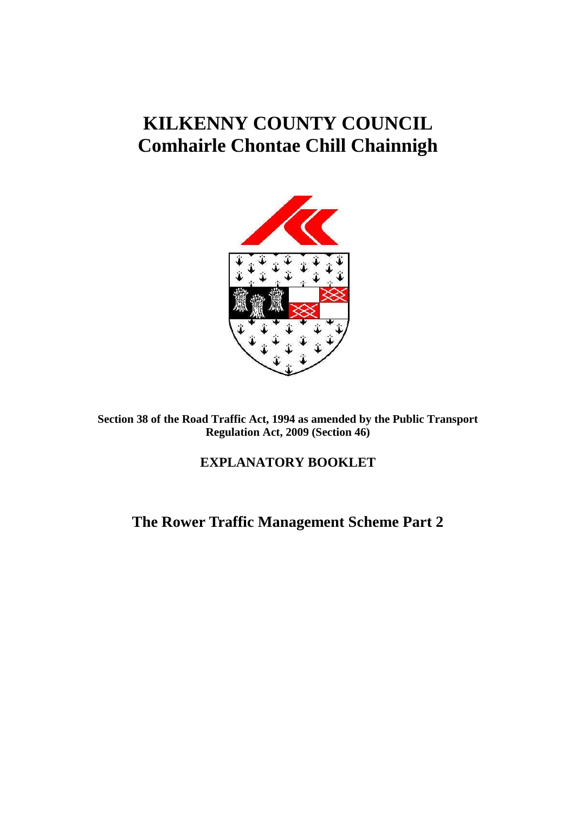# **KILKENNY COUNTY COUNCIL Comhairle Chontae Chill Chainnigh**



**Section 38 of the Road Traffic Act, 1994 as amended by the Public Transport Regulation Act, 2009 (Section 46)**

## **EXPLANATORY BOOKLET**

**The Rower Traffic Management Scheme Part 2**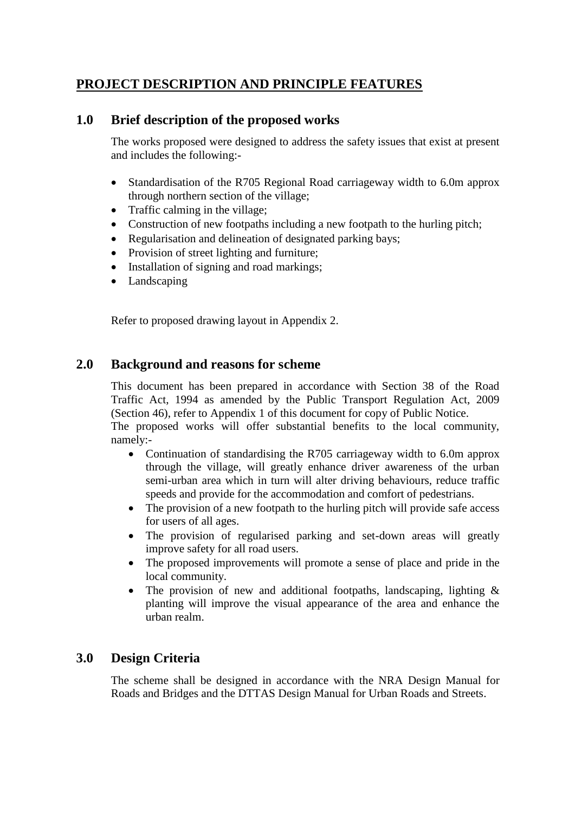## **PROJECT DESCRIPTION AND PRINCIPLE FEATURES**

## **1.0 Brief description of the proposed works**

The works proposed were designed to address the safety issues that exist at present and includes the following:-

- Standardisation of the R705 Regional Road carriageway width to 6.0m approx through northern section of the village;
- Traffic calming in the village;
- Construction of new footpaths including a new footpath to the hurling pitch;
- Regularisation and delineation of designated parking bays;
- Provision of street lighting and furniture;
- Installation of signing and road markings;
- Landscaping

Refer to proposed drawing layout in Appendix 2.

## **2.0 Background and reasons for scheme**

This document has been prepared in accordance with Section 38 of the Road Traffic Act, 1994 as amended by the Public Transport Regulation Act, 2009 (Section 46), refer to Appendix 1 of this document for copy of Public Notice.

The proposed works will offer substantial benefits to the local community, namely:-

- Continuation of standardising the R705 carriageway width to 6.0m approx through the village, will greatly enhance driver awareness of the urban semi-urban area which in turn will alter driving behaviours, reduce traffic speeds and provide for the accommodation and comfort of pedestrians.
- The provision of a new footpath to the hurling pitch will provide safe access for users of all ages.
- The provision of regularised parking and set-down areas will greatly improve safety for all road users.
- The proposed improvements will promote a sense of place and pride in the local community.
- The provision of new and additional footpaths, landscaping, lighting & planting will improve the visual appearance of the area and enhance the urban realm.

## **3.0 Design Criteria**

The scheme shall be designed in accordance with the NRA Design Manual for Roads and Bridges and the DTTAS Design Manual for Urban Roads and Streets.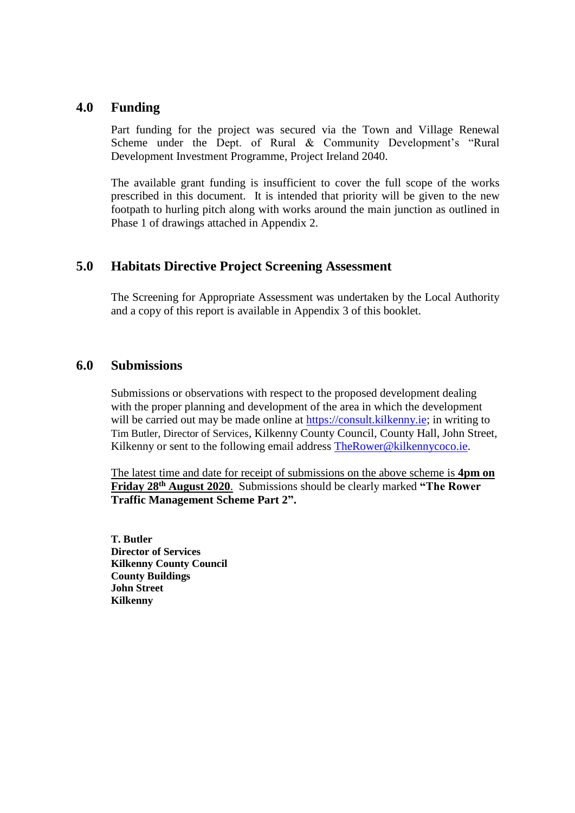### **4.0 Funding**

Part funding for the project was secured via the Town and Village Renewal Scheme under the Dept. of Rural & Community Development's "Rural Development Investment Programme, Project Ireland 2040.

The available grant funding is insufficient to cover the full scope of the works prescribed in this document. It is intended that priority will be given to the new footpath to hurling pitch along with works around the main junction as outlined in Phase 1 of drawings attached in Appendix 2.

## **5.0 Habitats Directive Project Screening Assessment**

The Screening for Appropriate Assessment was undertaken by the Local Authority and a copy of this report is available in Appendix 3 of this booklet.

### **6.0 Submissions**

Submissions or observations with respect to the proposed development dealing with the proper planning and development of the area in which the development will be carried out may be made online at [https://consult.kilkenny.ie;](https://consult.kilkenny.ie/) in writing to Tim Butler, Director of Services, Kilkenny County Council, County Hall, John Street, Kilkenny or sent to the following email address **TheRower@kilkennycoco.ie.** 

The latest time and date for receipt of submissions on the above scheme is **4pm on Friday 28th August 2020**. Submissions should be clearly marked **"The Rower Traffic Management Scheme Part 2".**

**T. Butler Director of Services Kilkenny County Council County Buildings John Street Kilkenny**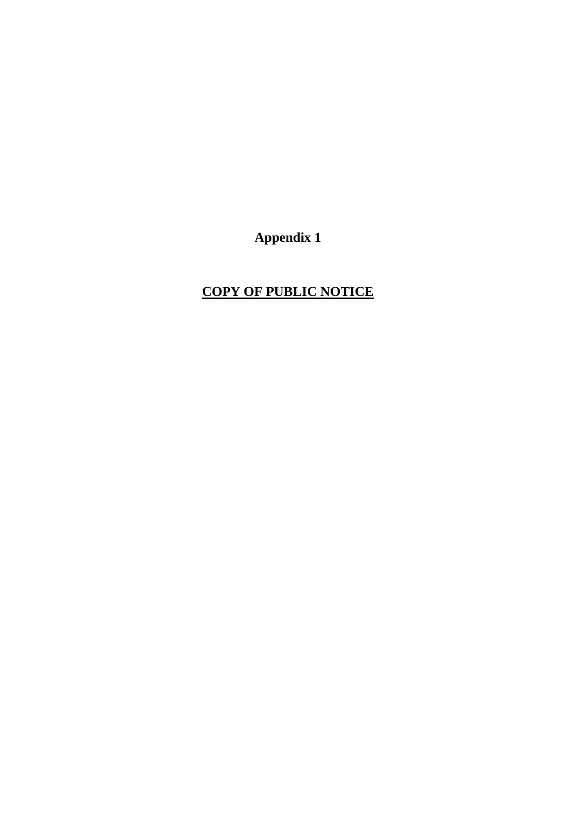**Appendix 1**

## **COPY OF PUBLIC NOTICE**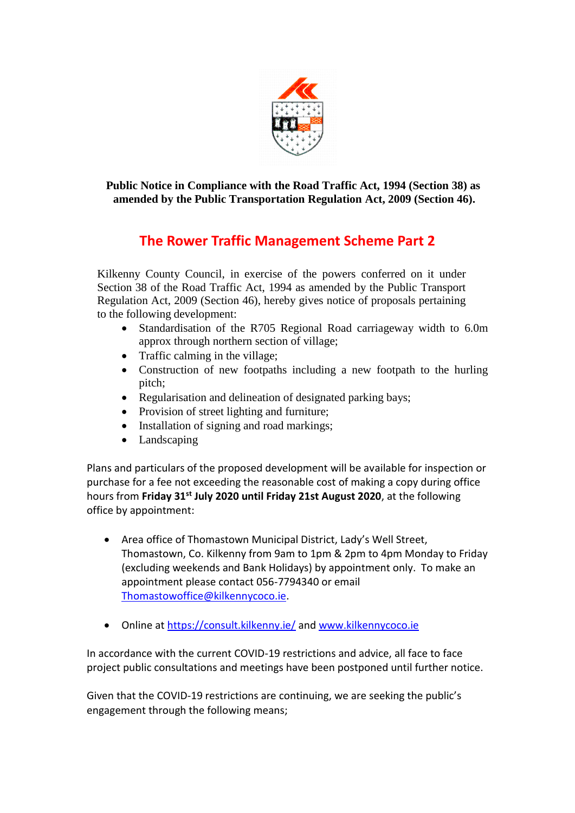

**Public Notice in Compliance with the Road Traffic Act, 1994 (Section 38) as amended by the Public Transportation Regulation Act, 2009 (Section 46).**

## **The Rower Traffic Management Scheme Part 2**

Kilkenny County Council, in exercise of the powers conferred on it under Section 38 of the Road Traffic Act, 1994 as amended by the Public Transport Regulation Act, 2009 (Section 46), hereby gives notice of proposals pertaining to the following development:

- Standardisation of the R705 Regional Road carriageway width to 6.0m approx through northern section of village;
- Traffic calming in the village;
- Construction of new footpaths including a new footpath to the hurling pitch;
- Regularisation and delineation of designated parking bays;
- Provision of street lighting and furniture;
- Installation of signing and road markings;
- Landscaping

Plans and particulars of the proposed development will be available for inspection or purchase for a fee not exceeding the reasonable cost of making a copy during office hours from **Friday 31st July 2020 until Friday 21st August 2020**, at the following office by appointment:

- Area office of Thomastown Municipal District, Lady's Well Street, Thomastown, Co. Kilkenny from 9am to 1pm & 2pm to 4pm Monday to Friday (excluding weekends and Bank Holidays) by appointment only. To make an appointment please contact 056-7794340 or email [Thomastowoffice@kilkennycoco.ie.](mailto:Thomastowoffice@kilkennycoco.ie)
- Online at<https://consult.kilkenny.ie/> and [www.kilkennycoco.ie](http://www.kilkennycoco.ie/)

In accordance with the current COVID-19 restrictions and advice, all face to face project public consultations and meetings have been postponed until further notice.

Given that the COVID-19 restrictions are continuing, we are seeking the public's engagement through the following means;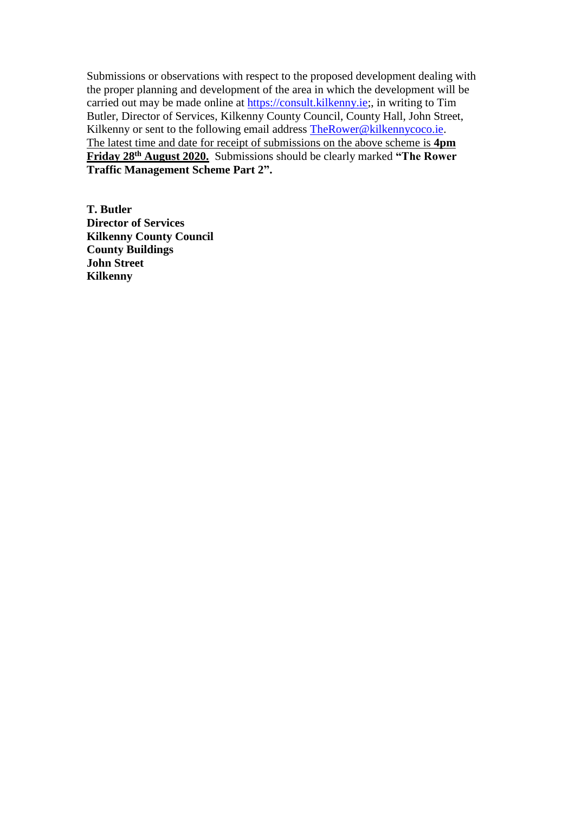Submissions or observations with respect to the proposed development dealing with the proper planning and development of the area in which the development will be carried out may be made online at [https://consult.kilkenny.ie;](https://consult.kilkenny.ie/), in writing to Tim Butler, Director of Services, Kilkenny County Council, County Hall, John Street, Kilkenny or sent to the following email address [TheRower@kilkennycoco.ie.](mailto:TheRower@kilkennycoco.ie) The latest time and date for receipt of submissions on the above scheme is **4pm Friday 28th August 2020.** Submissions should be clearly marked **"The Rower Traffic Management Scheme Part 2".**

**T. Butler Director of Services Kilkenny County Council County Buildings John Street Kilkenny**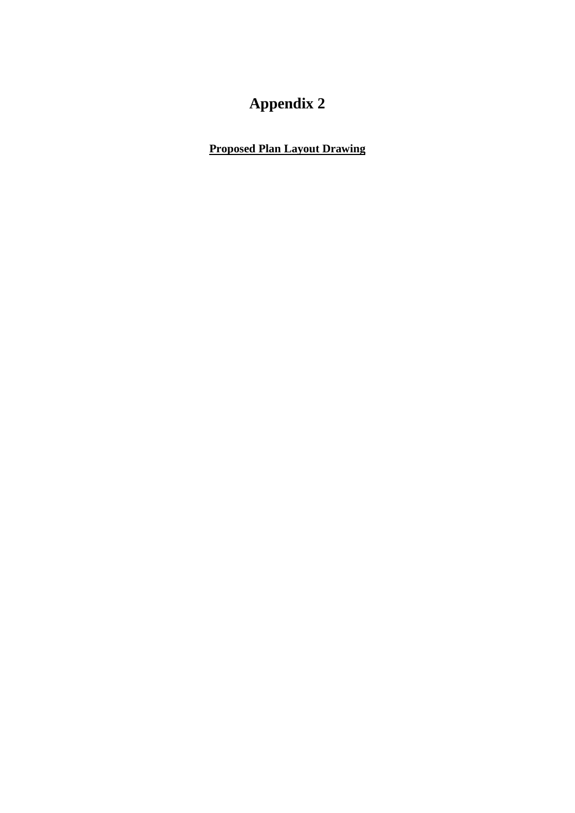# **Appendix 2**

**Proposed Plan Layout Drawing**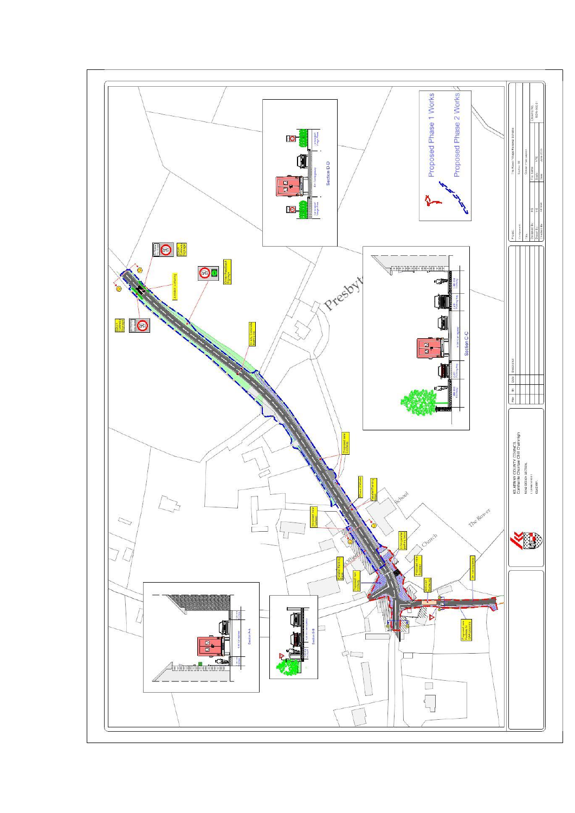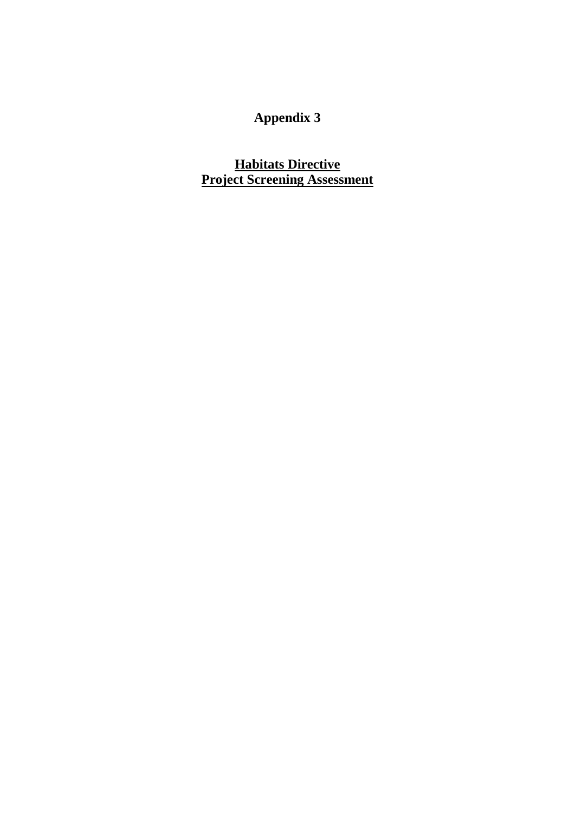## **Appendix 3**

**Habitats Directive Project Screening Assessment**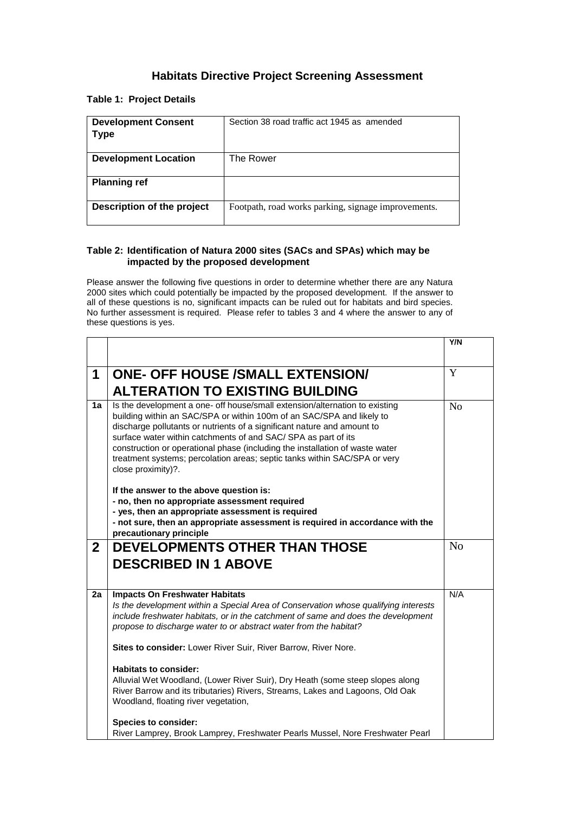### **Habitats Directive Project Screening Assessment**

#### **Table 1: Project Details**

| <b>Development Consent</b><br>Type | Section 38 road traffic act 1945 as amended         |
|------------------------------------|-----------------------------------------------------|
| <b>Development Location</b>        | The Rower                                           |
| <b>Planning ref</b>                |                                                     |
| Description of the project         | Footpath, road works parking, signage improvements. |

#### **Table 2: Identification of Natura 2000 sites (SACs and SPAs) which may be impacted by the proposed development**

Please answer the following five questions in order to determine whether there are any Natura 2000 sites which could potentially be impacted by the proposed development. If the answer to all of these questions is no, significant impacts can be ruled out for habitats and bird species. No further assessment is required. Please refer to tables 3 and 4 where the answer to any of these questions is yes.

|              |                                                                                                                                                                                                                                                                                                                                                                                                                                                                                                                                                                                                                                                                                                                                                   | Y/N |
|--------------|---------------------------------------------------------------------------------------------------------------------------------------------------------------------------------------------------------------------------------------------------------------------------------------------------------------------------------------------------------------------------------------------------------------------------------------------------------------------------------------------------------------------------------------------------------------------------------------------------------------------------------------------------------------------------------------------------------------------------------------------------|-----|
| 1            | <b>ONE- OFF HOUSE /SMALL EXTENSION/</b><br><b>ALTERATION TO EXISTING BUILDING</b>                                                                                                                                                                                                                                                                                                                                                                                                                                                                                                                                                                                                                                                                 | Y   |
| 1a           | Is the development a one- off house/small extension/alternation to existing<br>building within an SAC/SPA or within 100m of an SAC/SPA and likely to<br>discharge pollutants or nutrients of a significant nature and amount to<br>surface water within catchments of and SAC/ SPA as part of its<br>construction or operational phase (including the installation of waste water<br>treatment systems; percolation areas; septic tanks within SAC/SPA or very<br>close proximity)?.<br>If the answer to the above question is:<br>- no, then no appropriate assessment required<br>- yes, then an appropriate assessment is required<br>- not sure, then an appropriate assessment is required in accordance with the<br>precautionary principle | No  |
| $\mathbf{2}$ | <b>DEVELOPMENTS OTHER THAN THOSE</b><br><b>DESCRIBED IN 1 ABOVE</b>                                                                                                                                                                                                                                                                                                                                                                                                                                                                                                                                                                                                                                                                               | No  |
| 2a           | <b>Impacts On Freshwater Habitats</b><br>Is the development within a Special Area of Conservation whose qualifying interests<br>include freshwater habitats, or in the catchment of same and does the development<br>propose to discharge water to or abstract water from the habitat?<br>Sites to consider: Lower River Suir, River Barrow, River Nore.<br>Habitats to consider:<br>Alluvial Wet Woodland, (Lower River Suir), Dry Heath (some steep slopes along<br>River Barrow and its tributaries) Rivers, Streams, Lakes and Lagoons, Old Oak<br>Woodland, floating river vegetation,<br><b>Species to consider:</b>                                                                                                                        | N/A |
|              | River Lamprey, Brook Lamprey, Freshwater Pearls Mussel, Nore Freshwater Pearl                                                                                                                                                                                                                                                                                                                                                                                                                                                                                                                                                                                                                                                                     |     |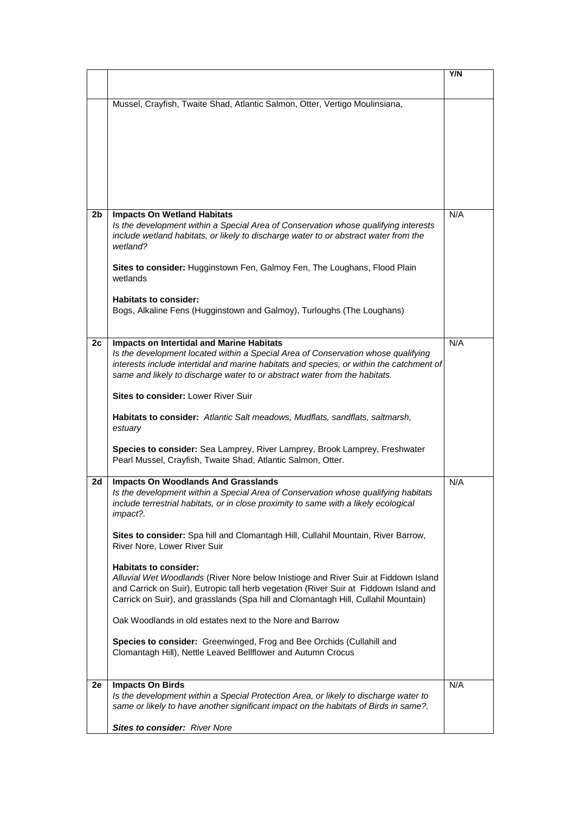|    |                                                                                                                                                                               | Y/N |
|----|-------------------------------------------------------------------------------------------------------------------------------------------------------------------------------|-----|
|    |                                                                                                                                                                               |     |
|    | Mussel, Crayfish, Twaite Shad, Atlantic Salmon, Otter, Vertigo Moulinsiana,                                                                                                   |     |
|    |                                                                                                                                                                               |     |
|    |                                                                                                                                                                               |     |
|    |                                                                                                                                                                               |     |
|    |                                                                                                                                                                               |     |
|    |                                                                                                                                                                               |     |
|    |                                                                                                                                                                               |     |
|    |                                                                                                                                                                               |     |
| 2b | <b>Impacts On Wetland Habitats</b>                                                                                                                                            | N/A |
|    | Is the development within a Special Area of Conservation whose qualifying interests<br>include wetland habitats, or likely to discharge water to or abstract water from the   |     |
|    | wetland?                                                                                                                                                                      |     |
|    |                                                                                                                                                                               |     |
|    | Sites to consider: Hugginstown Fen, Galmoy Fen, The Loughans, Flood Plain<br>wetlands                                                                                         |     |
|    |                                                                                                                                                                               |     |
|    | <b>Habitats to consider:</b>                                                                                                                                                  |     |
|    | Bogs, Alkaline Fens (Hugginstown and Galmoy), Turloughs (The Loughans)                                                                                                        |     |
|    |                                                                                                                                                                               |     |
| 2c | <b>Impacts on Intertidal and Marine Habitats</b>                                                                                                                              | N/A |
|    | Is the development located within a Special Area of Conservation whose qualifying<br>interests include intertidal and marine habitats and species, or within the catchment of |     |
|    | same and likely to discharge water to or abstract water from the habitats.                                                                                                    |     |
|    |                                                                                                                                                                               |     |
|    | <b>Sites to consider: Lower River Suir</b>                                                                                                                                    |     |
|    | Habitats to consider: Atlantic Salt meadows, Mudflats, sandflats, saltmarsh,                                                                                                  |     |
|    | estuary                                                                                                                                                                       |     |
|    | Species to consider: Sea Lamprey, River Lamprey, Brook Lamprey, Freshwater                                                                                                    |     |
|    | Pearl Mussel, Crayfish, Twaite Shad, Atlantic Salmon, Otter.                                                                                                                  |     |
| 2d | <b>Impacts On Woodlands And Grasslands</b>                                                                                                                                    | N/A |
|    | Is the development within a Special Area of Conservation whose qualifying habitats                                                                                            |     |
|    | include terrestrial habitats, or in close proximity to same with a likely ecological                                                                                          |     |
|    | impact?.                                                                                                                                                                      |     |
|    | Sites to consider: Spa hill and Clomantagh Hill, Cullahil Mountain, River Barrow,                                                                                             |     |
|    | River Nore, Lower River Suir                                                                                                                                                  |     |
|    | <b>Habitats to consider:</b>                                                                                                                                                  |     |
|    | Alluvial Wet Woodlands (River Nore below Inistioge and River Suir at Fiddown Island                                                                                           |     |
|    | and Carrick on Suir), Eutropic tall herb vegetation (River Suir at Fiddown Island and                                                                                         |     |
|    | Carrick on Suir), and grasslands (Spa hill and Clomantagh Hill, Cullahil Mountain)                                                                                            |     |
|    | Oak Woodlands in old estates next to the Nore and Barrow                                                                                                                      |     |
|    |                                                                                                                                                                               |     |
|    | Species to consider: Greenwinged, Frog and Bee Orchids (Cullahill and<br>Clomantagh Hill), Nettle Leaved Bellflower and Autumn Crocus                                         |     |
|    |                                                                                                                                                                               |     |
|    |                                                                                                                                                                               |     |
| 2e | <b>Impacts On Birds</b><br>Is the development within a Special Protection Area, or likely to discharge water to                                                               | N/A |
|    | same or likely to have another significant impact on the habitats of Birds in same?.                                                                                          |     |
|    |                                                                                                                                                                               |     |
|    | Sites to consider: River Nore                                                                                                                                                 |     |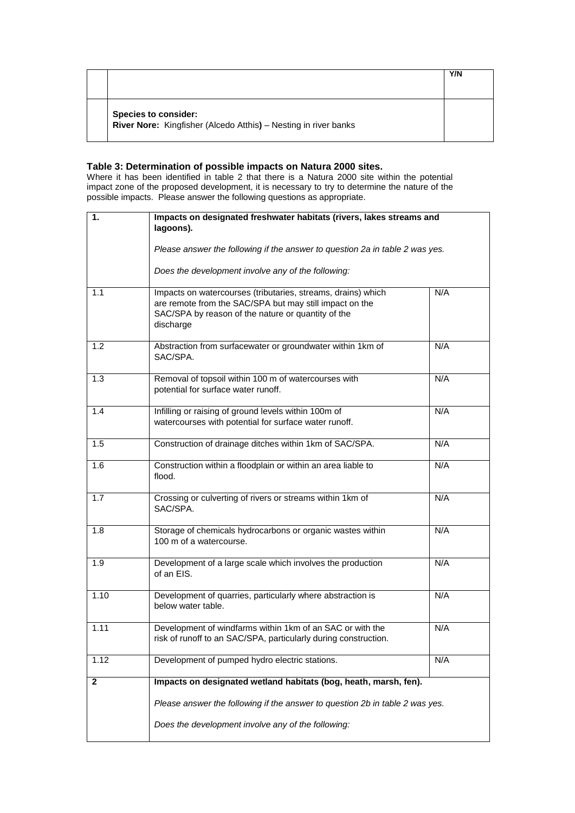|                                                                                                | Y/N |
|------------------------------------------------------------------------------------------------|-----|
|                                                                                                |     |
| <b>Species to consider:</b><br>River Nore: Kingfisher (Alcedo Atthis) - Nesting in river banks |     |

#### **Table 3: Determination of possible impacts on Natura 2000 sites.**

Where it has been identified in table 2 that there is a Natura 2000 site within the potential impact zone of the proposed development, it is necessary to try to determine the nature of the possible impacts. Please answer the following questions as appropriate.

| 1.           | Impacts on designated freshwater habitats (rivers, lakes streams and<br>lagoons).                                                                                                          |     |
|--------------|--------------------------------------------------------------------------------------------------------------------------------------------------------------------------------------------|-----|
|              | Please answer the following if the answer to question 2a in table 2 was yes.                                                                                                               |     |
|              | Does the development involve any of the following:                                                                                                                                         |     |
| 1.1          | Impacts on watercourses (tributaries, streams, drains) which<br>are remote from the SAC/SPA but may still impact on the<br>SAC/SPA by reason of the nature or quantity of the<br>discharge | N/A |
| 1.2          | N/A<br>Abstraction from surfacewater or groundwater within 1km of<br>SAC/SPA.                                                                                                              |     |
| 1.3          | Removal of topsoil within 100 m of watercourses with<br>potential for surface water runoff.                                                                                                | N/A |
| 1.4          | N/A<br>Infilling or raising of ground levels within 100m of<br>watercourses with potential for surface water runoff.                                                                       |     |
| 1.5          | Construction of drainage ditches within 1km of SAC/SPA.                                                                                                                                    | N/A |
| 1.6          | Construction within a floodplain or within an area liable to<br>flood.                                                                                                                     | N/A |
| 1.7          | Crossing or culverting of rivers or streams within 1km of<br>SAC/SPA.                                                                                                                      | N/A |
| 1.8          | Storage of chemicals hydrocarbons or organic wastes within<br>100 m of a watercourse.                                                                                                      | N/A |
| 1.9          | Development of a large scale which involves the production<br>of an EIS.                                                                                                                   | N/A |
| 1.10         | Development of quarries, particularly where abstraction is<br>below water table.                                                                                                           | N/A |
| 1.11         | Development of windfarms within 1km of an SAC or with the<br>risk of runoff to an SAC/SPA, particularly during construction.                                                               | N/A |
| 1.12         | Development of pumped hydro electric stations.                                                                                                                                             | N/A |
| $\mathbf{2}$ | Impacts on designated wetland habitats (bog, heath, marsh, fen).                                                                                                                           |     |
|              | Please answer the following if the answer to question 2b in table 2 was yes.                                                                                                               |     |
|              | Does the development involve any of the following:                                                                                                                                         |     |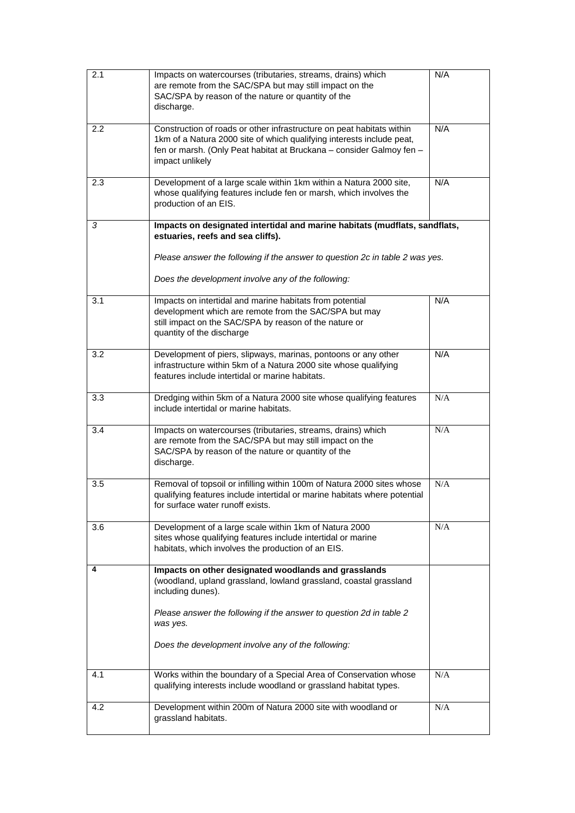| 2.1 | Impacts on watercourses (tributaries, streams, drains) which                                                                           | N/A |
|-----|----------------------------------------------------------------------------------------------------------------------------------------|-----|
|     | are remote from the SAC/SPA but may still impact on the                                                                                |     |
|     | SAC/SPA by reason of the nature or quantity of the                                                                                     |     |
|     | discharge.                                                                                                                             |     |
|     |                                                                                                                                        |     |
| 2.2 | Construction of roads or other infrastructure on peat habitats within                                                                  | N/A |
|     | 1km of a Natura 2000 site of which qualifying interests include peat,                                                                  |     |
|     | fen or marsh. (Only Peat habitat at Bruckana - consider Galmoy fen -                                                                   |     |
|     | impact unlikely                                                                                                                        |     |
|     |                                                                                                                                        |     |
| 2.3 | Development of a large scale within 1km within a Natura 2000 site,                                                                     | N/A |
|     | whose qualifying features include fen or marsh, which involves the                                                                     |     |
|     | production of an EIS.                                                                                                                  |     |
|     |                                                                                                                                        |     |
| 3   | Impacts on designated intertidal and marine habitats (mudflats, sandflats,                                                             |     |
|     | estuaries, reefs and sea cliffs).                                                                                                      |     |
|     |                                                                                                                                        |     |
|     | Please answer the following if the answer to question 2c in table 2 was yes.                                                           |     |
|     |                                                                                                                                        |     |
|     | Does the development involve any of the following:                                                                                     |     |
|     |                                                                                                                                        |     |
| 3.1 | Impacts on intertidal and marine habitats from potential                                                                               | N/A |
|     | development which are remote from the SAC/SPA but may<br>still impact on the SAC/SPA by reason of the nature or                        |     |
|     | quantity of the discharge                                                                                                              |     |
|     |                                                                                                                                        |     |
| 3.2 | Development of piers, slipways, marinas, pontoons or any other                                                                         | N/A |
|     | infrastructure within 5km of a Natura 2000 site whose qualifying                                                                       |     |
|     | features include intertidal or marine habitats.                                                                                        |     |
|     |                                                                                                                                        |     |
| 3.3 | Dredging within 5km of a Natura 2000 site whose qualifying features                                                                    | N/A |
|     | include intertidal or marine habitats.                                                                                                 |     |
|     |                                                                                                                                        |     |
| 3.4 | Impacts on watercourses (tributaries, streams, drains) which                                                                           | N/A |
|     | are remote from the SAC/SPA but may still impact on the                                                                                |     |
|     | SAC/SPA by reason of the nature or quantity of the                                                                                     |     |
|     | discharge.                                                                                                                             |     |
|     |                                                                                                                                        |     |
| 3.5 | Removal of topsoil or infilling within 100m of Natura 2000 sites whose                                                                 | N/A |
|     | qualifying features include intertidal or marine habitats where potential                                                              |     |
|     | for surface water runoff exists.                                                                                                       |     |
|     |                                                                                                                                        |     |
| 3.6 | Development of a large scale within 1km of Natura 2000                                                                                 | N/A |
|     | sites whose qualifying features include intertidal or marine                                                                           |     |
|     | habitats, which involves the production of an EIS.                                                                                     |     |
| 4   | Impacts on other designated woodlands and grasslands                                                                                   |     |
|     | (woodland, upland grassland, lowland grassland, coastal grassland                                                                      |     |
|     | including dunes).                                                                                                                      |     |
|     |                                                                                                                                        |     |
|     | Please answer the following if the answer to question 2d in table 2                                                                    |     |
|     | was yes.                                                                                                                               |     |
|     |                                                                                                                                        |     |
|     | Does the development involve any of the following:                                                                                     |     |
|     |                                                                                                                                        |     |
|     |                                                                                                                                        | N/A |
| 4.1 | Works within the boundary of a Special Area of Conservation whose<br>qualifying interests include woodland or grassland habitat types. |     |
|     |                                                                                                                                        |     |
| 4.2 | Development within 200m of Natura 2000 site with woodland or                                                                           | N/A |
|     | grassland habitats.                                                                                                                    |     |
|     |                                                                                                                                        |     |
|     |                                                                                                                                        |     |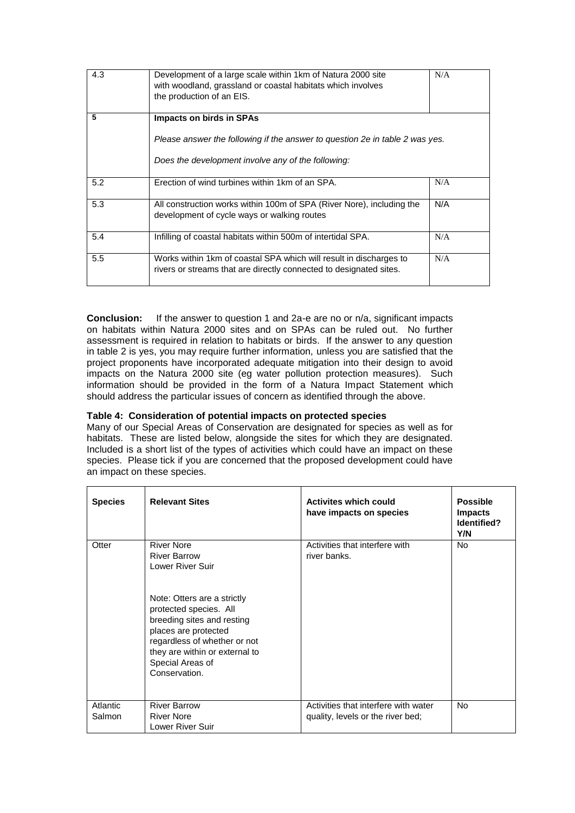| 4.3 | Development of a large scale within 1km of Natura 2000 site<br>with woodland, grassland or coastal habitats which involves<br>the production of an EIS.               |     |
|-----|-----------------------------------------------------------------------------------------------------------------------------------------------------------------------|-----|
| 5   | <b>Impacts on birds in SPAs</b><br>Please answer the following if the answer to question 2e in table 2 was yes.<br>Does the development involve any of the following: |     |
| 5.2 | Erection of wind turbines within 1km of an SPA.                                                                                                                       | N/A |
| 5.3 | All construction works within 100m of SPA (River Nore), including the<br>development of cycle ways or walking routes                                                  | N/A |
| 5.4 | Infilling of coastal habitats within 500m of intertidal SPA.                                                                                                          | N/A |
| 5.5 | Works within 1km of coastal SPA which will result in discharges to<br>rivers or streams that are directly connected to designated sites.                              | N/A |

**Conclusion:** If the answer to question 1 and 2a-e are no or n/a, significant impacts on habitats within Natura 2000 sites and on SPAs can be ruled out. No further assessment is required in relation to habitats or birds. If the answer to any question in table 2 is yes, you may require further information, unless you are satisfied that the project proponents have incorporated adequate mitigation into their design to avoid impacts on the Natura 2000 site (eg water pollution protection measures). Such information should be provided in the form of a Natura Impact Statement which should address the particular issues of concern as identified through the above.

#### **Table 4: Consideration of potential impacts on protected species**

Many of our Special Areas of Conservation are designated for species as well as for habitats. These are listed below, alongside the sites for which they are designated. Included is a short list of the types of activities which could have an impact on these species. Please tick if you are concerned that the proposed development could have an impact on these species.

| <b>Species</b>     | <b>Relevant Sites</b>                                                                                                                                                                                                                                                              | <b>Activites which could</b><br>have impacts on species                   | <b>Possible</b><br><b>Impacts</b><br>Identified?<br>Y/N |
|--------------------|------------------------------------------------------------------------------------------------------------------------------------------------------------------------------------------------------------------------------------------------------------------------------------|---------------------------------------------------------------------------|---------------------------------------------------------|
| Otter              | <b>River Nore</b><br><b>River Barrow</b><br>Lower River Suir<br>Note: Otters are a strictly<br>protected species. All<br>breeding sites and resting<br>places are protected<br>regardless of whether or not<br>they are within or external to<br>Special Areas of<br>Conservation. | Activities that interfere with<br>river banks.                            | <b>No</b>                                               |
| Atlantic<br>Salmon | <b>River Barrow</b><br><b>River Nore</b><br>Lower River Suir                                                                                                                                                                                                                       | Activities that interfere with water<br>quality, levels or the river bed; | No.                                                     |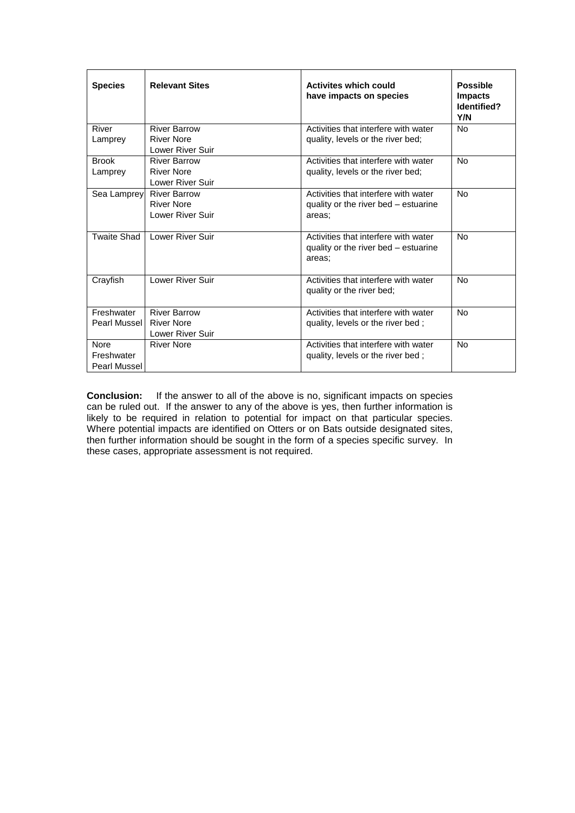| <b>Species</b>                            | <b>Relevant Sites</b>                                               | <b>Activites which could</b><br>have impacts on species                                | <b>Possible</b><br><b>Impacts</b><br>Identified?<br>Y/N |
|-------------------------------------------|---------------------------------------------------------------------|----------------------------------------------------------------------------------------|---------------------------------------------------------|
| River<br>Lamprey                          | <b>River Barrow</b><br><b>River Nore</b><br>Lower River Suir        | Activities that interfere with water<br>quality, levels or the river bed;              | <b>No</b>                                               |
| <b>Brook</b><br>Lamprey                   | <b>River Barrow</b><br>River Nore<br><b>Lower River Suir</b>        | Activities that interfere with water<br>quality, levels or the river bed;              | No                                                      |
| Sea Lamprey                               | <b>River Barrow</b><br><b>River Nore</b><br><b>Lower River Suir</b> | Activities that interfere with water<br>quality or the river bed – estuarine<br>areas: | No                                                      |
| Twaite Shad                               | Lower River Suir                                                    | Activities that interfere with water<br>quality or the river bed - estuarine<br>areas; | No                                                      |
| Crayfish                                  | <b>Lower River Suir</b>                                             | Activities that interfere with water<br>quality or the river bed;                      | No                                                      |
| Freshwater<br>Pearl Mussel                | <b>River Barrow</b><br>River Nore<br>Lower River Suir               | Activities that interfere with water<br>quality, levels or the river bed;              | <b>No</b>                                               |
| <b>Nore</b><br>Freshwater<br>Pearl Mussel | <b>River Nore</b>                                                   | Activities that interfere with water<br>quality, levels or the river bed;              | <b>No</b>                                               |

**Conclusion:** If the answer to all of the above is no, significant impacts on species can be ruled out. If the answer to any of the above is yes, then further information is likely to be required in relation to potential for impact on that particular species. Where potential impacts are identified on Otters or on Bats outside designated sites, then further information should be sought in the form of a species specific survey. In these cases, appropriate assessment is not required.